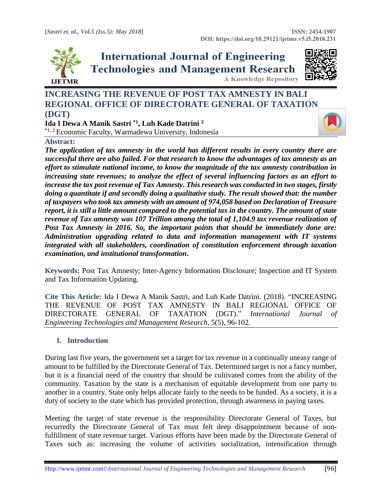

**International Journal of Engineering Technologies and Management Research** 



**A Knowledge Repository** 

# **INCREASING THE REVENUE OF POST TAX AMNESTY IN BALI REGIONAL OFFICE OF DIRECTORATE GENERAL OF TAXATION (DGT)**

**Ida I Dewa A Manik Sastri \*1, Luh Kade Datrini <sup>2</sup>** \*1, 2 Economic Faculty, Warmadewa University, Indonesia

**Abstract:** 

*The application of tax amnesty in the world has different results in every country there are successful there are also failed. For that research to know the advantages of tax amnesty as an effort to stimulate national income, to know the magnitude of the tax amnesty contribution in increasing state revenues; to analyze the effect of several influencing factors as an effort to increase the tax post revenue of Tax Amnesty. This research was conducted in two stages, firstly doing a quantitate if and secondly doing a qualitative study. The result showed that: the number of taxpayers who took tax amnesty with an amount of 974,058 based on Declaration of Treasure report, it is still a little amount compared to the potential tax in the country. The amount of state revenue of Tax amnesty was 107 Trillion among the total of 1,104.9 tax revenue realization of Post Tax Amnesty in 2016. So, the important points that should be immediately done are: Administration upgrading related to data and information management with IT systems integrated with all stakeholders, coordination of constitution enforcement through taxation examination, and institutional transformation***.**

**Keywords:** Post Tax Amnesty; Inter-Agency Information Disclosure; Inspection and IT System and Tax Information Updating*.* 

**Cite This Article:** Ida I Dewa A Manik Sastri, and Luh Kade Datrini. (2018). "INCREASING THE REVENUE OF POST TAX AMNESTY IN BALI REGIONAL OFFICE OF DIRECTORATE GENERAL OF TAXATION (DGT)." *International Journal of Engineering Technologies and Management Research,* 5(5), 96-102.

# **1. Introduction**

During last five years, the government set a target for tax revenue in a continually uneasy range of amount to be fulfilled by the Directorate General of Tax. Determined target is not a fancy number, but it is a financial need of the country that should be cultivated comes from the ability of the community. Taxation by the state is a mechanism of equitable development from one party to another in a country. State only helps allocate fairly to the needs to be funded. As a society, it is a duty of society to the state which has provided protection, through awareness in paying taxes.

Meeting the target of state revenue is the responsibility Directorate General of Taxes, but recurredly the Directorate General of Tax must felt deep disappointment because of nonfulfillment of state revenue target. Various efforts have been made by the Directorate General of Taxes such as: increasing the volume of activities socialization, intensification through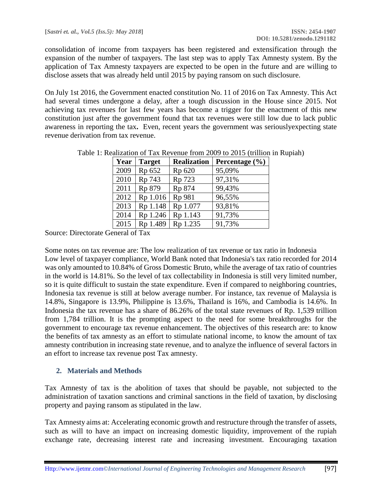consolidation of income from taxpayers has been registered and extensification through the expansion of the number of taxpayers. The last step was to apply Tax Amnesty system. By the application of Tax Amnesty taxpayers are expected to be open in the future and are willing to disclose assets that was already held until 2015 by paying ransom on such disclosure.

On July 1st 2016, the Government enacted constitution No. 11 of 2016 on Tax Amnesty. This Act had several times undergone a delay, after a tough discussion in the House since 2015. Not achieving tax revenues for last few years has become a trigger for the enactment of this new constitution just after the government found that tax revenues were still low due to lack public awareness in reporting the tax**.** Even, recent years the government was seriouslyexpecting state revenue derivation from tax revenue.

| Year | <b>Target</b> | <b>Realization</b> | Percentage $(\% )$ |
|------|---------------|--------------------|--------------------|
| 2009 | Rp 652        | Rp 620             | 95,09%             |
| 2010 | Rp 743        | Rp 723             | 97,31%             |
| 2011 | Rp 879        | Rp 874             | 99,43%             |
| 2012 | Rp 1.016      | Rp 981             | 96,55%             |
| 2013 | Rp 1.148      | Rp 1.077           | 93,81%             |
| 2014 | Rp 1.246      | Rp 1.143           | 91,73%             |
| 2015 | Rp 1.489      | Rp 1.235           | 91,73%             |

Table 1: Realization of Tax Revenue from 2009 to 2015 (trillion in Rupiah)

Source: Directorate General of Tax

Some notes on tax revenue are: The low realization of tax revenue or tax ratio in Indonesia Low level of taxpayer compliance, World Bank noted that Indonesia's tax ratio recorded for 2014 was only amounted to 10.84% of Gross Domestic Bruto, while the average of tax ratio of countries in the world is 14.81%. So the level of tax collectability in Indonesia is still very limited number, so it is quite difficult to sustain the state expenditure. Even if compared to neighboring countries, Indonesia tax revenue is still at below average number. For instance, tax revenue of Malaysia is 14.8%, Singapore is 13.9%, Philippine is 13.6%, Thailand is 16%, and Cambodia is 14.6%. In Indonesia the tax revenue has a share of 86.26% of the total state revenues of Rp. 1,539 trillion from 1,784 trillion. It is the prompting aspect to the need for some breakthroughs for the government to encourage tax revenue enhancement. The objectives of this research are: to know the benefits of tax amnesty as an effort to stimulate national income, to know the amount of tax amnesty contribution in increasing state revenue, and to analyze the influence of several factors in an effort to increase tax revenue post Tax amnesty.

# **2. Materials and Methods**

Tax Amnesty of tax is the abolition of taxes that should be payable, not subjected to the administration of taxation sanctions and criminal sanctions in the field of taxation, by disclosing property and paying ransom as stipulated in the law.

Tax Amnesty aims at: Accelerating economic growth and restructure through the transfer of assets, such as will to have an impact on increasing domestic liquidity, improvement of the rupiah exchange rate, decreasing interest rate and increasing investment. Encouraging taxation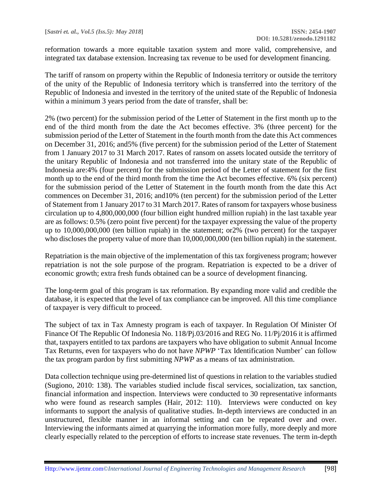reformation towards a more equitable taxation system and more valid, comprehensive, and integrated tax database extension. Increasing tax revenue to be used for development financing.

The tariff of ransom on property within the Republic of Indonesia territory or outside the territory of the unity of the Republic of Indonesia territory which is transferred into the territory of the Republic of Indonesia and invested in the territory of the united state of the Republic of Indonesia within a minimum 3 years period from the date of transfer, shall be:

2% (two percent) for the submission period of the Letter of Statement in the first month up to the end of the third month from the date the Act becomes effective. 3% (three percent) for the submission period of the Letter of Statement in the fourth month from the date this Act commences on December 31, 2016; and5% (five percent) for the submission period of the Letter of Statement from 1 January 2017 to 31 March 2017. Rates of ransom on assets located outside the territory of the unitary Republic of Indonesia and not transferred into the unitary state of the Republic of Indonesia are:4% (four percent) for the submission period of the Letter of statement for the first month up to the end of the third month from the time the Act becomes effective. 6% (six percent) for the submission period of the Letter of Statement in the fourth month from the date this Act commences on December 31, 2016; and10% (ten percent) for the submission period of the Letter of Statement from 1 January 2017 to 31 March 2017. Rates of ransom for taxpayers whose business circulation up to 4,800,000,000 (four billion eight hundred million rupiah) in the last taxable year are as follows: 0.5% (zero point five percent) for the taxpayer expressing the value of the property up to 10,000,000,000 (ten billion rupiah) in the statement; or2% (two percent) for the taxpayer who discloses the property value of more than  $10,000,000,000$  (ten billion rupiah) in the statement.

Repatriation is the main objective of the implementation of this tax forgiveness program; however repatriation is not the sole purpose of the program. Repatriation is expected to be a driver of economic growth; extra fresh funds obtained can be a source of development financing.

The long-term goal of this program is tax reformation. By expanding more valid and credible the database, it is expected that the level of tax compliance can be improved. All this time compliance of taxpayer is very difficult to proceed.

The subject of tax in Tax Amnesty program is each of taxpayer. In Regulation Of Minister Of Finance Of The Republic Of Indonesia No. 118/Pj.03/2016 and REG No. 11/Pj/2016 it is affirmed that, taxpayers entitled to tax pardons are taxpayers who have obligation to submit Annual Income Tax Returns, even for taxpayers who do not have *NPWP* ['Tax Identification Number'](https://id.oxforddictionaries.com/translate/english-indonesian/tax_identification_number?xref=1&label=tax%20identification%20number&locale=en) can follow the tax program pardon by first submitting *NPWP* as a means of tax administration.

Data collection technique using pre-determined list of questions in relation to the variables studied (Sugiono, 2010: 138). The variables studied include fiscal services, socialization, tax sanction, financial information and inspection. Interviews were conducted to 30 representative informants who were found as research samples (Hair, 2012: 110). Interviews were conducted on key informants to support the analysis of qualitative studies. In-depth interviews are conducted in an unstructured, flexible manner in an informal setting and can be repeated over and over. Interviewing the informants aimed at quarrying the information more fully, more deeply and more clearly especially related to the perception of efforts to increase state revenues. The term in-depth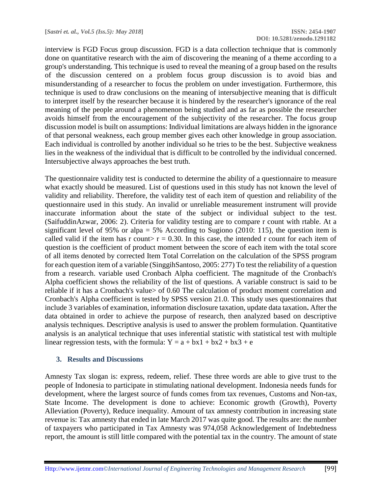interview is FGD Focus group discussion. FGD is a data collection technique that is commonly done on quantitative research with the aim of discovering the meaning of a theme according to a group's understanding. This technique is used to reveal the meaning of a group based on the results of the discussion centered on a problem focus group discussion is to avoid bias and misunderstanding of a researcher to focus the problem on under investigation. Furthermore, this technique is used to draw conclusions on the meaning of intersubjective meaning that is difficult to interpret itself by the researcher because it is hindered by the researcher's ignorance of the real meaning of the people around a phenomenon being studied and as far as possible the researcher avoids himself from the encouragement of the subjectivity of the researcher. The focus group discussion model is built on assumptions: Individual limitations are always hidden in the ignorance of that personal weakness, each group member gives each other knowledge in group association. Each individual is controlled by another individual so he tries to be the best. Subjective weakness lies in the weakness of the individual that is difficult to be controlled by the individual concerned. Intersubjective always approaches the best truth.

The questionnaire validity test is conducted to determine the ability of a questionnaire to measure what exactly should be measured. List of questions used in this study has not known the level of validity and reliability. Therefore, the validity test of each item of question and reliability of the questionnaire used in this study. An invalid or unreliable measurement instrument will provide inaccurate information about the state of the subject or individual subject to the test. (SaifuddinAzwar, 2006: 2). Criteria for validity testing are to compare r count with rtable. At a significant level of 95% or alpa = 5% According to Sugiono (2010: 115), the question item is called valid if the item has r count $> r = 0.30$ . In this case, the intended r count for each item of question is the coefficient of product moment between the score of each item with the total score of all items denoted by corrected Item Total Correlation on the calculation of the SPSS program for each question item of a variable (SinggihSantoso, 2005: 277) To test the reliability of a question from a research. variable used Cronbach Alpha coefficient. The magnitude of the Cronbach's Alpha coefficient shows the reliability of the list of questions. A variable construct is said to be reliable if it has a Cronbach's value> of 0.60 The calculation of product moment correlation and Cronbach's Alpha coefficient is tested by SPSS version 21.0. This study uses questionnaires that include 3 variables of examination, information disclosure taxation, update data taxation**.** After the data obtained in order to achieve the purpose of research, then analyzed based on descriptive analysis techniques. Descriptive analysis is used to answer the problem formulation. Quantitative analysis is an analytical technique that uses inferential statistic with statistical test with multiple linear regression tests, with the formula:  $Y = a + bx1 + bx2 + bx3 + e$ 

### **3. Results and Discussions**

Amnesty Tax slogan is: express, redeem, relief. These three words are able to give trust to the people of Indonesia to participate in stimulating national development. Indonesia needs funds for development, where the largest source of funds comes from tax revenues, Customs and Non-tax, State Income. The development is done to achieve: Economic growth (Growth), Poverty Alleviation (Poverty), Reduce inequality. Amount of tax amnesty contribution in increasing state revenue is: Tax amnesty that ended in late March 2017 was quite good. The results are: the number of taxpayers who participated in Tax Amnesty was 974,058 Acknowledgement of Indebtedness report, the amount is still little compared with the potential tax in the country. The amount of state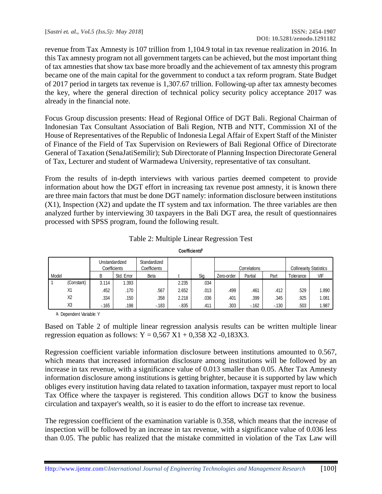revenue from Tax Amnesty is 107 trillion from 1,104.9 total in tax revenue realization in 2016. In this Tax amnesty program not all government targets can be achieved, but the most important thing of tax amnesties that show tax base more broadly and the achievement of tax amnesty this program became one of the main capital for the government to conduct a tax reform program. State Budget of 2017 period in targets tax revenue is 1,307.67 trillion. Following-up after tax amnesty becomes the key, where the general direction of technical policy security policy acceptance 2017 was already in the financial note.

Focus Group discussion presents: Head of Regional Office of DGT Bali. Regional Chairman of Indonesian Tax Consultant Association of Bali Region, NTB and NTT, Commission XI of the House of Representatives of the Republic of Indonesia Legal Affair of Expert Staff of the Minister of Finance of the Field of Tax Supervision on Reviewers of Bali Regional Office of Directorate General of Taxation (SenaJatiSemilir); Sub Directorate of Planning Inspection Directorate General of Tax, Lecturer and student of Warmadewa University, representative of tax consultant.

From the results of in-depth interviews with various parties deemed competent to provide information about how the DGT effort in increasing tax revenue post amnesty, it is known there are three main factors that must be done DGT namely: information disclosure between institutions (X1), Inspection (X2) and update the IT system and tax information. The three variables are then analyzed further by interviewing 30 taxpayers in the Bali DGT area, the result of questionnaires processed with SPSS program, found the following result.

|       | Unstandardized<br>Coefficients |        | Standardized<br>Coefficients |             |          | Correlations |            | <b>Collinearity Statistics</b> |        |           |       |
|-------|--------------------------------|--------|------------------------------|-------------|----------|--------------|------------|--------------------------------|--------|-----------|-------|
| Model |                                | B      | Std. Error                   | <b>Beta</b> |          | Sig.         | Zero-order | Partial                        | Part   | Tolerance | VIF   |
|       | (Constant)                     | 3.114  | 1.393                        |             | 2.235    | .034         |            |                                |        |           |       |
|       | X1                             | .452   | .170                         | .567        | 2.652    | .013         | .499       | .461                           | .412   | .529      | .890  |
|       | X <sub>2</sub>                 | .334   | .150                         | .358        | 2.218    | .036         | .401       | .399                           | .345   | .925      | 1.081 |
|       | X <sub>3</sub>                 | $-165$ | .198                         | $-183$      | $-0.835$ | .411         | .303       | $-162$                         | $-130$ | .503      | .987  |

Table 2: Multiple Linear Regression Test

**Coefficients<sup>a</sup>**

a. Dependent Variable: Y

Based on Table 2 of multiple linear regression analysis results can be written multiple linear regression equation as follows:  $Y = 0,567 \text{ X1} + 0,358 \text{ X2} - 0,183 \text{ X3}$ .

Regression coefficient variable information disclosure between institutions amounted to 0.567, which means that increased information disclosure among institutions will be followed by an increase in tax revenue, with a significance value of 0.013 smaller than 0.05. After Tax Amnesty information disclosure among institutions is getting brighter, because it is supported by law which obliges every institution having data related to taxation information, taxpayer must report to local Tax Office where the taxpayer is registered. This condition allows DGT to know the business circulation and taxpayer's wealth, so it is easier to do the effort to increase tax revenue.

The regression coefficient of the examination variable is 0.358, which means that the increase of inspection will be followed by an increase in tax revenue, with a significance value of 0.036 less than 0.05. The public has realized that the mistake committed in violation of the Tax Law will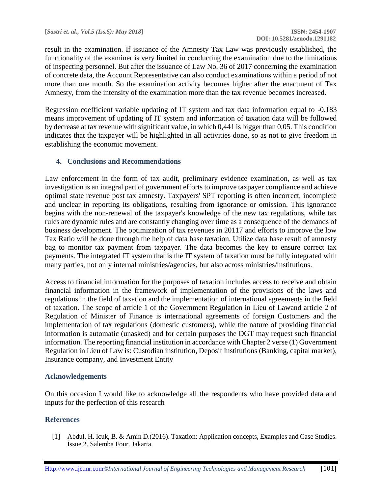result in the examination. If issuance of the Amnesty Tax Law was previously established, the functionality of the examiner is very limited in conducting the examination due to the limitations of inspecting personnel. But after the issuance of Law No. 36 of 2017 concerning the examination of concrete data, the Account Representative can also conduct examinations within a period of not more than one month. So the examination activity becomes higher after the enactment of Tax Amnesty, from the intensity of the examination more than the tax revenue becomes increased.

Regression coefficient variable updating of IT system and tax data information equal to -0.183 means improvement of updating of IT system and information of taxation data will be followed by decrease at tax revenue with significant value, in which 0,441 is bigger than 0,05. This condition indicates that the taxpayer will be highlighted in all activities done, so as not to give freedom in establishing the economic movement.

# **4. Conclusions and Recommendations**

Law enforcement in the form of tax audit, preliminary evidence examination, as well as tax investigation is an integral part of government efforts to improve taxpayer compliance and achieve optimal state revenue post tax amnesty. Taxpayers' SPT reporting is often incorrect, incomplete and unclear in reporting its obligations, resulting from ignorance or omission. This ignorance begins with the non-renewal of the taxpayer's knowledge of the new tax regulations, while tax rules are dynamic rules and are constantly changing over time as a consequence of the demands of business development. The optimization of tax revenues in 20117 and efforts to improve the low Tax Ratio will be done through the help of data base taxation. Utilize data base result of amnesty bag to monitor tax payment from taxpayer. The data becomes the key to ensure correct tax payments. The integrated IT system that is the IT system of taxation must be fully integrated with many parties, not only internal ministries/agencies, but also across ministries/institutions.

Access to financial information for the purposes of taxation includes access to receive and obtain financial information in the framework of implementation of the provisions of the laws and regulations in the field of taxation and the implementation of international agreements in the field of taxation. The scope of article 1 of the Government Regulation in Lieu of Lawand article 2 of Regulation of Minister of Finance is international agreements of foreign Customers and the implementation of tax regulations (domestic customers), while the nature of providing financial information is automatic (unasked) and for certain purposes the DGT may request such financial information. The reporting financial institution in accordance with Chapter 2 verse (1) Government Regulation in Lieu of Law is: Custodian institution, Deposit Institutions (Banking, capital market), Insurance company, and Investment Entity

# **Acknowledgements**

On this occasion I would like to acknowledge all the respondents who have provided data and inputs for the perfection of this research

# **References**

[1] Abdul, H. Icuk, B. & Amin D.(2016). Taxation: Application concepts, Examples and Case Studies. Issue 2. Salemba Four. Jakarta.